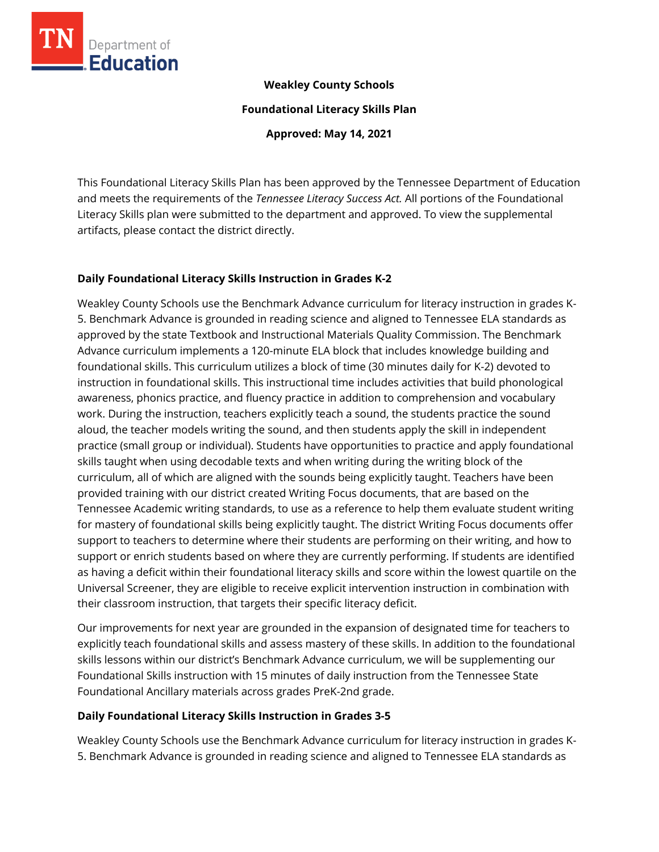

## **Weakley County Schools**

**Foundational Literacy Skills Plan**

**Approved: May 14, 2021**

This Foundational Literacy Skills Plan has been approved by the Tennessee Department of Education and meets the requirements of the *Tennessee Literacy Success Act.* All portions of the Foundational Literacy Skills plan were submitted to the department and approved. To view the supplemental artifacts, please contact the district directly.

## **Daily Foundational Literacy Skills Instruction in Grades K-2**

Weakley County Schools use the Benchmark Advance curriculum for literacy instruction in grades K-5. Benchmark Advance is grounded in reading science and aligned to Tennessee ELA standards as approved by the state Textbook and Instructional Materials Quality Commission. The Benchmark Advance curriculum implements a 120-minute ELA block that includes knowledge building and foundational skills. This curriculum utilizes a block of time (30 minutes daily for K-2) devoted to instruction in foundational skills. This instructional time includes activities that build phonological awareness, phonics practice, and fluency practice in addition to comprehension and vocabulary work. During the instruction, teachers explicitly teach a sound, the students practice the sound aloud, the teacher models writing the sound, and then students apply the skill in independent practice (small group or individual). Students have opportunities to practice and apply foundational skills taught when using decodable texts and when writing during the writing block of the curriculum, all of which are aligned with the sounds being explicitly taught. Teachers have been provided training with our district created Writing Focus documents, that are based on the Tennessee Academic writing standards, to use as a reference to help them evaluate student writing for mastery of foundational skills being explicitly taught. The district Writing Focus documents offer support to teachers to determine where their students are performing on their writing, and how to support or enrich students based on where they are currently performing. If students are identified as having a deficit within their foundational literacy skills and score within the lowest quartile on the Universal Screener, they are eligible to receive explicit intervention instruction in combination with their classroom instruction, that targets their specific literacy deficit.

Our improvements for next year are grounded in the expansion of designated time for teachers to explicitly teach foundational skills and assess mastery of these skills. In addition to the foundational skills lessons within our district's Benchmark Advance curriculum, we will be supplementing our Foundational Skills instruction with 15 minutes of daily instruction from the Tennessee State Foundational Ancillary materials across grades PreK-2nd grade.

# **Daily Foundational Literacy Skills Instruction in Grades 3-5**

Weakley County Schools use the Benchmark Advance curriculum for literacy instruction in grades K-5. Benchmark Advance is grounded in reading science and aligned to Tennessee ELA standards as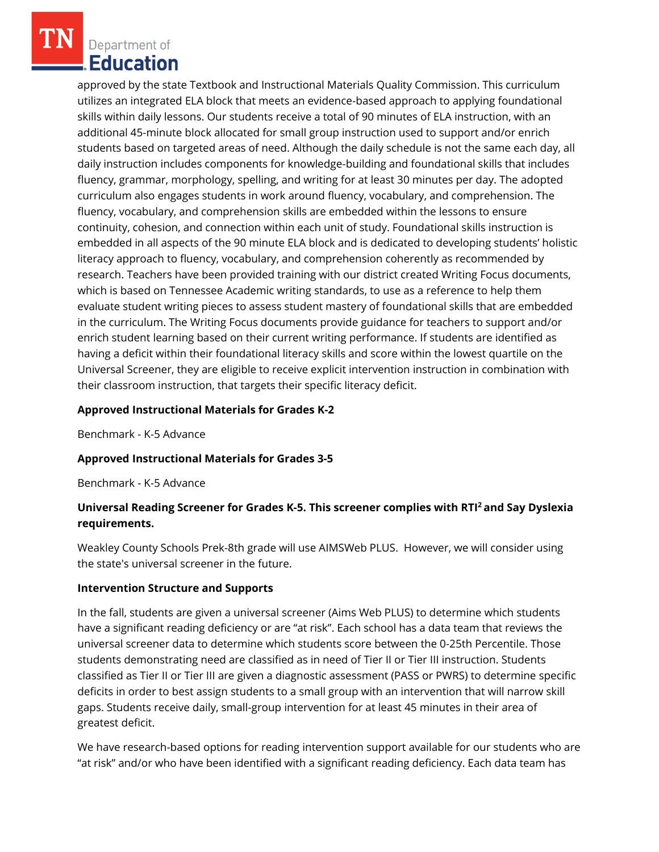Department of Education

approved by the state Textbook and Instructional Materials Quality Commission. This curriculum utilizes an integrated ELA block that meets an evidence-based approach to applying foundational skills within daily lessons. Our students receive a total of 90 minutes of ELA instruction, with an additional 45-minute block allocated for small group instruction used to support and/or enrich students based on targeted areas of need. Although the daily schedule is not the same each day, all daily instruction includes components for knowledge-building and foundational skills that includes fluency, grammar, morphology, spelling, and writing for at least 30 minutes per day. The adopted curriculum also engages students in work around fluency, vocabulary, and comprehension. The fluency, vocabulary, and comprehension skills are embedded within the lessons to ensure continuity, cohesion, and connection within each unit of study. Foundational skills instruction is embedded in all aspects of the 90 minute ELA block and is dedicated to developing students' holistic literacy approach to fluency, vocabulary, and comprehension coherently as recommended by research. Teachers have been provided training with our district created Writing Focus documents, which is based on Tennessee Academic writing standards, to use as a reference to help them evaluate student writing pieces to assess student mastery of foundational skills that are embedded in the curriculum. The Writing Focus documents provide guidance for teachers to support and/or enrich student learning based on their current writing performance. If students are identified as having a deficit within their foundational literacy skills and score within the lowest quartile on the Universal Screener, they are eligible to receive explicit intervention instruction in combination with their classroom instruction, that targets their specific literacy deficit.

### **Approved Instructional Materials for Grades K-2**

Benchmark - K-5 Advance

## **Approved Instructional Materials for Grades 3-5**

Benchmark - K-5 Advance

# **Universal Reading Screener for Grades K-5. This screener complies with RTI<sup>2</sup>and Say Dyslexia requirements.**

Weakley County Schools Prek-8th grade will use AIMSWeb PLUS. However, we will consider using the state's universal screener in the future.

#### **Intervention Structure and Supports**

In the fall, students are given a universal screener (Aims Web PLUS) to determine which students have a significant reading deficiency or are "at risk". Each school has a data team that reviews the universal screener data to determine which students score between the 0-25th Percentile. Those students demonstrating need are classified as in need of Tier II or Tier III instruction. Students classified as Tier II or Tier III are given a diagnostic assessment (PASS or PWRS) to determine specific deficits in order to best assign students to a small group with an intervention that will narrow skill gaps. Students receive daily, small-group intervention for at least 45 minutes in their area of greatest deficit.

We have research-based options for reading intervention support available for our students who are "at risk" and/or who have been identified with a significant reading deficiency. Each data team has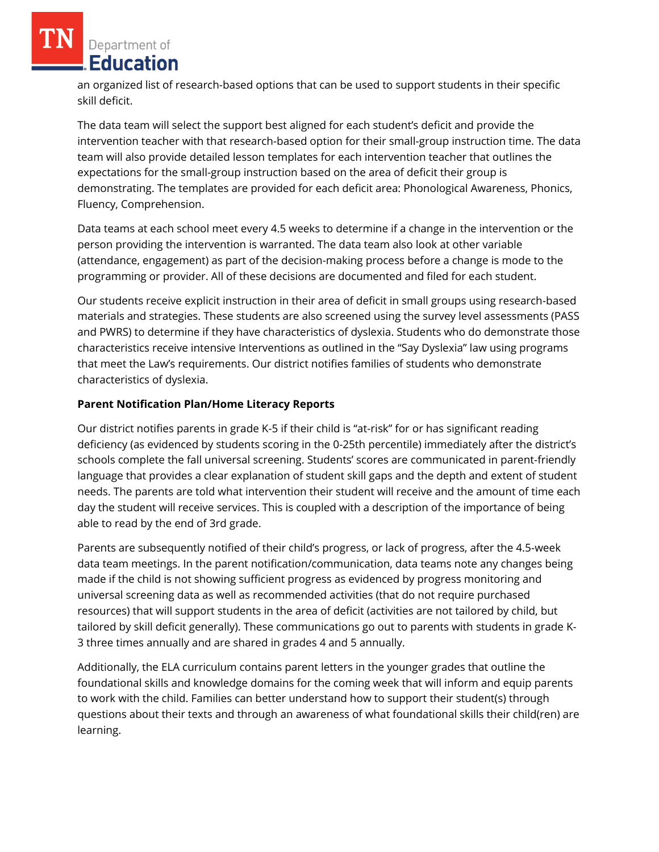Department of **Education** 

an organized list of research-based options that can be used to support students in their specific skill deficit.

The data team will select the support best aligned for each student's deficit and provide the intervention teacher with that research-based option for their small-group instruction time. The data team will also provide detailed lesson templates for each intervention teacher that outlines the expectations for the small-group instruction based on the area of deficit their group is demonstrating. The templates are provided for each deficit area: Phonological Awareness, Phonics, Fluency, Comprehension.

Data teams at each school meet every 4.5 weeks to determine if a change in the intervention or the person providing the intervention is warranted. The data team also look at other variable (attendance, engagement) as part of the decision-making process before a change is mode to the programming or provider. All of these decisions are documented and filed for each student.

Our students receive explicit instruction in their area of deficit in small groups using research-based materials and strategies. These students are also screened using the survey level assessments (PASS and PWRS) to determine if they have characteristics of dyslexia. Students who do demonstrate those characteristics receive intensive Interventions as outlined in the "Say Dyslexia" law using programs that meet the Law's requirements. Our district notifies families of students who demonstrate characteristics of dyslexia.

## **Parent Notification Plan/Home Literacy Reports**

Our district notifies parents in grade K-5 if their child is "at-risk" for or has significant reading deficiency (as evidenced by students scoring in the 0-25th percentile) immediately after the district's schools complete the fall universal screening. Students' scores are communicated in parent-friendly language that provides a clear explanation of student skill gaps and the depth and extent of student needs. The parents are told what intervention their student will receive and the amount of time each day the student will receive services. This is coupled with a description of the importance of being able to read by the end of 3rd grade.

Parents are subsequently notified of their child's progress, or lack of progress, after the 4.5-week data team meetings. In the parent notification/communication, data teams note any changes being made if the child is not showing sufficient progress as evidenced by progress monitoring and universal screening data as well as recommended activities (that do not require purchased resources) that will support students in the area of deficit (activities are not tailored by child, but tailored by skill deficit generally). These communications go out to parents with students in grade K-3 three times annually and are shared in grades 4 and 5 annually.

Additionally, the ELA curriculum contains parent letters in the younger grades that outline the foundational skills and knowledge domains for the coming week that will inform and equip parents to work with the child. Families can better understand how to support their student(s) through questions about their texts and through an awareness of what foundational skills their child(ren) are learning.